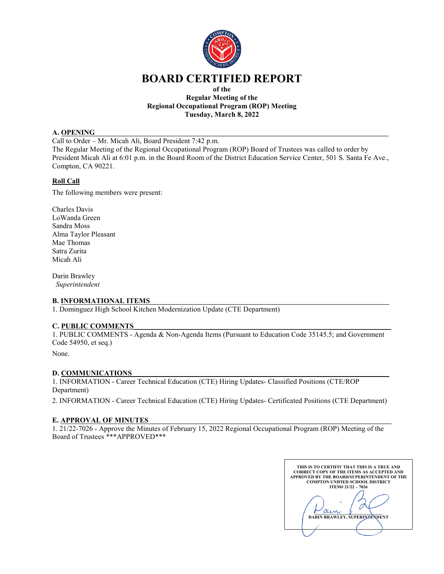

# **BOARD CERTIFIED REPORT**

#### **of the Regular Meeting of the Regional Occupational Program (ROP) Meeting Tuesday, March 8, 2022**

#### **A. OPENING**

Call to Order – Mr. Micah Ali, Board President 7:42 p.m. The Regular Meeting of the Regional Occupational Program (ROP) Board of Trustees was called to order by President Micah Ali at 6:01 p.m. in the Board Room of the District Education Service Center, 501 S. Santa Fe Ave., Compton, CA 90221.

# **Roll Call**

The following members were present:

Charles Davis LoWanda Green Sandra Moss Alma Taylor Pleasant Mae Thomas Satra Zurita Micah Ali

Darin Brawley *Superintendent*

# **B. INFORMATIONAL ITEMS**

1. Dominguez High School Kitchen Modernization Update (CTE Department)

# **C. PUBLIC COMMENTS**\_\_\_\_\_\_\_\_\_\_\_\_\_\_\_\_\_\_\_\_\_\_\_\_\_\_\_\_\_\_\_\_\_\_\_\_\_\_\_\_\_\_\_\_\_\_\_\_\_\_\_\_\_\_\_\_\_\_\_\_\_\_\_\_\_\_\_\_\_\_\_

1. PUBLIC COMMENTS - Agenda & Non-Agenda Items (Pursuant to Education Code 35145.5; and Government Code 54950, et seq.)

None.

# **D. COMMUNICATIONS**

1. INFORMATION - Career Technical Education (CTE) Hiring Updates- Classified Positions (CTE/ROP Department)

2. INFORMATION - Career Technical Education (CTE) Hiring Updates- Certificated Positions (CTE Department)

# **E. APPROVAL OF MINUTES**

1. 21/22-7026 - Approve the Minutes of February 15, 2022 Regional Occupational Program (ROP) Meeting of the Board of Trustees \*\*\*APPROVED\*\*\*

**THIS IS TO CERTIFIY THAT THIS IS A TRUE AND CORRECT COPY OF THE ITEMS AS ACCEPTED AND APPROVED BY THE BOARD/SUPERINTENDENT OF THE COMPTON UNIFIED SCHOOL DISTRICT ITEM# 21/22 – 7026 \_\_\_\_\_\_\_\_\_\_\_\_\_\_\_\_\_\_\_\_\_\_\_\_\_\_\_\_\_\_\_ DARIN BRAWLEY, SUPERINTENDENT**